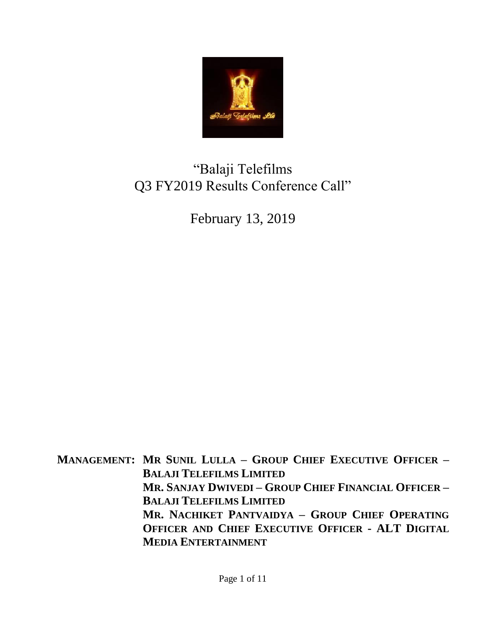

# "Balaji Telefilms Q3 FY2019 Results Conference Call"

February 13, 2019

**MANAGEMENT: MR SUNIL LULLA – GROUP CHIEF EXECUTIVE OFFICER – BALAJI TELEFILMS LIMITED MR. SANJAY DWIVEDI – GROUP CHIEF FINANCIAL OFFICER – BALAJI TELEFILMS LIMITED MR. NACHIKET PANTVAIDYA – GROUP CHIEF OPERATING OFFICER AND CHIEF EXECUTIVE OFFICER - ALT DIGITAL MEDIA ENTERTAINMENT**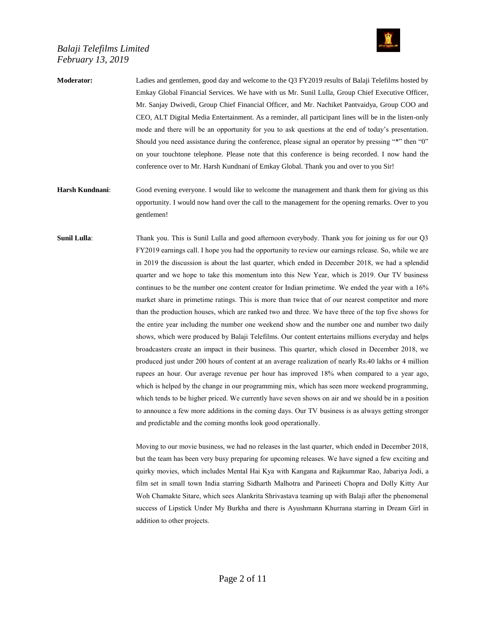

**Moderator:** Ladies and gentlemen, good day and welcome to the Q3 FY2019 results of Balaji Telefilms hosted by Emkay Global Financial Services. We have with us Mr. Sunil Lulla, Group Chief Executive Officer, Mr. Sanjay Dwivedi, Group Chief Financial Officer, and Mr. Nachiket Pantvaidya, Group COO and CEO, ALT Digital Media Entertainment. As a reminder, all participant lines will be in the listen-only mode and there will be an opportunity for you to ask questions at the end of today's presentation. Should you need assistance during the conference, please signal an operator by pressing "\*" then "0" on your touchtone telephone. Please note that this conference is being recorded. I now hand the conference over to Mr. Harsh Kundnani of Emkay Global. Thank you and over to you Sir!

**Harsh Kundnani**: Good evening everyone. I would like to welcome the management and thank them for giving us this opportunity. I would now hand over the call to the management for the opening remarks. Over to you gentlemen!

**Sunil Lulla**: Thank you. This is Sunil Lulla and good afternoon everybody. Thank you for joining us for our Q3 FY2019 earnings call. I hope you had the opportunity to review our earnings release. So, while we are in 2019 the discussion is about the last quarter, which ended in December 2018, we had a splendid quarter and we hope to take this momentum into this New Year, which is 2019. Our TV business continues to be the number one content creator for Indian primetime. We ended the year with a 16% market share in primetime ratings. This is more than twice that of our nearest competitor and more than the production houses, which are ranked two and three. We have three of the top five shows for the entire year including the number one weekend show and the number one and number two daily shows, which were produced by Balaji Telefilms. Our content entertains millions everyday and helps broadcasters create an impact in their business. This quarter, which closed in December 2018, we produced just under 200 hours of content at an average realization of nearly Rs.40 lakhs or 4 million rupees an hour. Our average revenue per hour has improved 18% when compared to a year ago, which is helped by the change in our programming mix, which has seen more weekend programming, which tends to be higher priced. We currently have seven shows on air and we should be in a position to announce a few more additions in the coming days. Our TV business is as always getting stronger and predictable and the coming months look good operationally.

> Moving to our movie business, we had no releases in the last quarter, which ended in December 2018, but the team has been very busy preparing for upcoming releases. We have signed a few exciting and quirky movies, which includes Mental Hai Kya with Kangana and Rajkummar Rao, Jabariya Jodi, a film set in small town India starring Sidharth Malhotra and Parineeti Chopra and Dolly Kitty Aur Woh Chamakte Sitare, which sees Alankrita Shrivastava teaming up with Balaji after the phenomenal success of Lipstick Under My Burkha and there is Ayushmann Khurrana starring in Dream Girl in addition to other projects.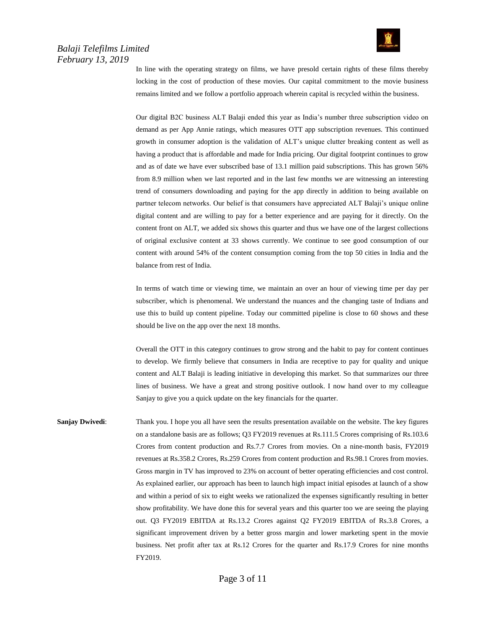

In line with the operating strategy on films, we have presold certain rights of these films thereby locking in the cost of production of these movies. Our capital commitment to the movie business remains limited and we follow a portfolio approach wherein capital is recycled within the business.

Our digital B2C business ALT Balaji ended this year as India's number three subscription video on demand as per App Annie ratings, which measures OTT app subscription revenues. This continued growth in consumer adoption is the validation of ALT's unique clutter breaking content as well as having a product that is affordable and made for India pricing. Our digital footprint continues to grow and as of date we have ever subscribed base of 13.1 million paid subscriptions. This has grown 56% from 8.9 million when we last reported and in the last few months we are witnessing an interesting trend of consumers downloading and paying for the app directly in addition to being available on partner telecom networks. Our belief is that consumers have appreciated ALT Balaji's unique online digital content and are willing to pay for a better experience and are paying for it directly. On the content front on ALT, we added six shows this quarter and thus we have one of the largest collections of original exclusive content at 33 shows currently. We continue to see good consumption of our content with around 54% of the content consumption coming from the top 50 cities in India and the balance from rest of India.

In terms of watch time or viewing time, we maintain an over an hour of viewing time per day per subscriber, which is phenomenal. We understand the nuances and the changing taste of Indians and use this to build up content pipeline. Today our committed pipeline is close to 60 shows and these should be live on the app over the next 18 months.

Overall the OTT in this category continues to grow strong and the habit to pay for content continues to develop. We firmly believe that consumers in India are receptive to pay for quality and unique content and ALT Balaji is leading initiative in developing this market. So that summarizes our three lines of business. We have a great and strong positive outlook. I now hand over to my colleague Sanjay to give you a quick update on the key financials for the quarter.

**Sanjay Dwivedi:** Thank you. I hope you all have seen the results presentation available on the website. The key figures on a standalone basis are as follows; Q3 FY2019 revenues at Rs.111.5 Crores comprising of Rs.103.6 Crores from content production and Rs.7.7 Crores from movies. On a nine-month basis, FY2019 revenues at Rs.358.2 Crores, Rs.259 Crores from content production and Rs.98.1 Crores from movies. Gross margin in TV has improved to 23% on account of better operating efficiencies and cost control. As explained earlier, our approach has been to launch high impact initial episodes at launch of a show and within a period of six to eight weeks we rationalized the expenses significantly resulting in better show profitability. We have done this for several years and this quarter too we are seeing the playing out. Q3 FY2019 EBITDA at Rs.13.2 Crores against Q2 FY2019 EBITDA of Rs.3.8 Crores, a significant improvement driven by a better gross margin and lower marketing spent in the movie business. Net profit after tax at Rs.12 Crores for the quarter and Rs.17.9 Crores for nine months FY2019.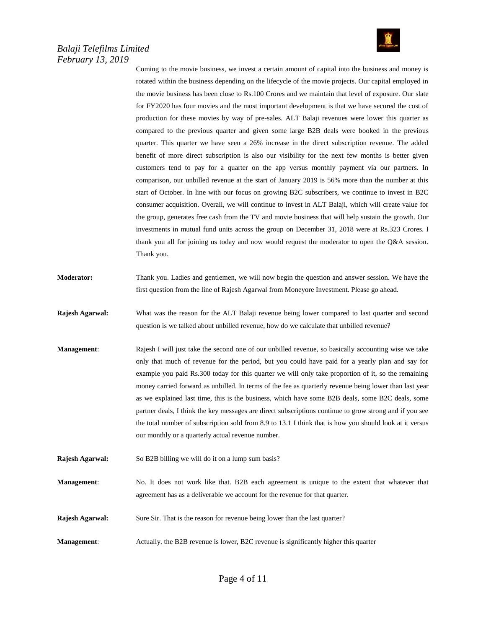

Coming to the movie business, we invest a certain amount of capital into the business and money is rotated within the business depending on the lifecycle of the movie projects. Our capital employed in the movie business has been close to Rs.100 Crores and we maintain that level of exposure. Our slate for FY2020 has four movies and the most important development is that we have secured the cost of production for these movies by way of pre-sales. ALT Balaji revenues were lower this quarter as compared to the previous quarter and given some large B2B deals were booked in the previous quarter. This quarter we have seen a 26% increase in the direct subscription revenue. The added benefit of more direct subscription is also our visibility for the next few months is better given customers tend to pay for a quarter on the app versus monthly payment via our partners. In comparison, our unbilled revenue at the start of January 2019 is 56% more than the number at this start of October. In line with our focus on growing B2C subscribers, we continue to invest in B2C consumer acquisition. Overall, we will continue to invest in ALT Balaji, which will create value for the group, generates free cash from the TV and movie business that will help sustain the growth. Our investments in mutual fund units across the group on December 31, 2018 were at Rs.323 Crores. I thank you all for joining us today and now would request the moderator to open the Q&A session. Thank you.

- **Moderator:** Thank you. Ladies and gentlemen, we will now begin the question and answer session. We have the first question from the line of Rajesh Agarwal from Moneyore Investment. Please go ahead.
- **Rajesh Agarwal:** What was the reason for the ALT Balaji revenue being lower compared to last quarter and second question is we talked about unbilled revenue, how do we calculate that unbilled revenue?
- **Management:** Rajesh I will just take the second one of our unbilled revenue, so basically accounting wise we take only that much of revenue for the period, but you could have paid for a yearly plan and say for example you paid Rs.300 today for this quarter we will only take proportion of it, so the remaining money carried forward as unbilled. In terms of the fee as quarterly revenue being lower than last year as we explained last time, this is the business, which have some B2B deals, some B2C deals, some partner deals, I think the key messages are direct subscriptions continue to grow strong and if you see the total number of subscription sold from 8.9 to 13.1 I think that is how you should look at it versus our monthly or a quarterly actual revenue number.
- **Rajesh Agarwal:** So B2B billing we will do it on a lump sum basis?
- **Management:** No. It does not work like that. B2B each agreement is unique to the extent that whatever that agreement has as a deliverable we account for the revenue for that quarter.
- **Rajesh Agarwal:** Sure Sir. That is the reason for revenue being lower than the last quarter?
- **Management**: Actually, the B2B revenue is lower, B2C revenue is significantly higher this quarter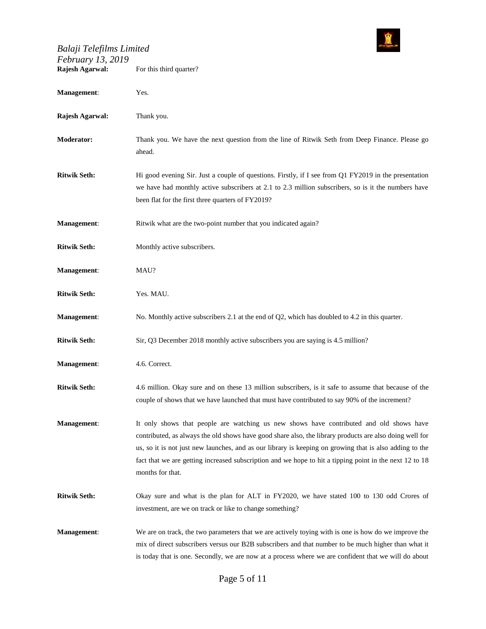

| $1$ corran $y$ $10, 2017$<br>Rajesh Agarwal: | For this third quarter?                                                                                                                                                                                                                                                                                                                                                                                                                      |
|----------------------------------------------|----------------------------------------------------------------------------------------------------------------------------------------------------------------------------------------------------------------------------------------------------------------------------------------------------------------------------------------------------------------------------------------------------------------------------------------------|
| Management:                                  | Yes.                                                                                                                                                                                                                                                                                                                                                                                                                                         |
| Rajesh Agarwal:                              | Thank you.                                                                                                                                                                                                                                                                                                                                                                                                                                   |
| <b>Moderator:</b>                            | Thank you. We have the next question from the line of Ritwik Seth from Deep Finance. Please go<br>ahead.                                                                                                                                                                                                                                                                                                                                     |
| <b>Ritwik Seth:</b>                          | Hi good evening Sir. Just a couple of questions. Firstly, if I see from Q1 FY2019 in the presentation<br>we have had monthly active subscribers at 2.1 to 2.3 million subscribers, so is it the numbers have<br>been flat for the first three quarters of FY2019?                                                                                                                                                                            |
| Management:                                  | Ritwik what are the two-point number that you indicated again?                                                                                                                                                                                                                                                                                                                                                                               |
| <b>Ritwik Seth:</b>                          | Monthly active subscribers.                                                                                                                                                                                                                                                                                                                                                                                                                  |
| Management:                                  | MAU?                                                                                                                                                                                                                                                                                                                                                                                                                                         |
| <b>Ritwik Seth:</b>                          | Yes. MAU.                                                                                                                                                                                                                                                                                                                                                                                                                                    |
| <b>Management:</b>                           | No. Monthly active subscribers 2.1 at the end of $Q2$ , which has doubled to 4.2 in this quarter.                                                                                                                                                                                                                                                                                                                                            |
| <b>Ritwik Seth:</b>                          | Sir, Q3 December 2018 monthly active subscribers you are saying is 4.5 million?                                                                                                                                                                                                                                                                                                                                                              |
| Management:                                  | 4.6. Correct.                                                                                                                                                                                                                                                                                                                                                                                                                                |
| <b>Ritwik Seth:</b>                          | 4.6 million. Okay sure and on these 13 million subscribers, is it safe to assume that because of the<br>couple of shows that we have launched that must have contributed to say 90% of the increment?                                                                                                                                                                                                                                        |
| <b>Management:</b>                           | It only shows that people are watching us new shows have contributed and old shows have<br>contributed, as always the old shows have good share also, the library products are also doing well for<br>us, so it is not just new launches, and as our library is keeping on growing that is also adding to the<br>fact that we are getting increased subscription and we hope to hit a tipping point in the next 12 to 18<br>months for that. |
| <b>Ritwik Seth:</b>                          | Okay sure and what is the plan for ALT in FY2020, we have stated 100 to 130 odd Crores of<br>investment, are we on track or like to change something?                                                                                                                                                                                                                                                                                        |
| <b>Management:</b>                           | We are on track, the two parameters that we are actively toying with is one is how do we improve the<br>mix of direct subscribers versus our B2B subscribers and that number to be much higher than what it<br>is today that is one. Secondly, we are now at a process where we are confident that we will do about                                                                                                                          |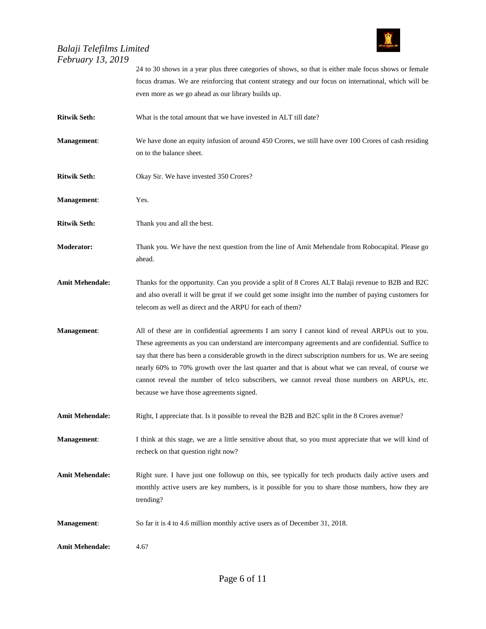

|                        | 24 to 30 shows in a year plus three categories of shows, so that is either male focus shows or female<br>focus dramas. We are reinforcing that content strategy and our focus on international, which will be                                                                                                                                                                                                                                                                                                                                                      |
|------------------------|--------------------------------------------------------------------------------------------------------------------------------------------------------------------------------------------------------------------------------------------------------------------------------------------------------------------------------------------------------------------------------------------------------------------------------------------------------------------------------------------------------------------------------------------------------------------|
|                        | even more as we go ahead as our library builds up.                                                                                                                                                                                                                                                                                                                                                                                                                                                                                                                 |
| <b>Ritwik Seth:</b>    | What is the total amount that we have invested in ALT till date?                                                                                                                                                                                                                                                                                                                                                                                                                                                                                                   |
| <b>Management:</b>     | We have done an equity infusion of around 450 Crores, we still have over 100 Crores of cash residing<br>on to the balance sheet.                                                                                                                                                                                                                                                                                                                                                                                                                                   |
| <b>Ritwik Seth:</b>    | Okay Sir. We have invested 350 Crores?                                                                                                                                                                                                                                                                                                                                                                                                                                                                                                                             |
| <b>Management:</b>     | Yes.                                                                                                                                                                                                                                                                                                                                                                                                                                                                                                                                                               |
| <b>Ritwik Seth:</b>    | Thank you and all the best.                                                                                                                                                                                                                                                                                                                                                                                                                                                                                                                                        |
| <b>Moderator:</b>      | Thank you. We have the next question from the line of Amit Mehendale from Robocapital. Please go<br>ahead.                                                                                                                                                                                                                                                                                                                                                                                                                                                         |
| <b>Amit Mehendale:</b> | Thanks for the opportunity. Can you provide a split of 8 Crores ALT Balaji revenue to B2B and B2C<br>and also overall it will be great if we could get some insight into the number of paying customers for<br>telecom as well as direct and the ARPU for each of them?                                                                                                                                                                                                                                                                                            |
| Management:            | All of these are in confidential agreements I am sorry I cannot kind of reveal ARPUs out to you.<br>These agreements as you can understand are intercompany agreements and are confidential. Suffice to<br>say that there has been a considerable growth in the direct subscription numbers for us. We are seeing<br>nearly 60% to 70% growth over the last quarter and that is about what we can reveal, of course we<br>cannot reveal the number of telco subscribers, we cannot reveal those numbers on ARPUs, etc.<br>because we have those agreements signed. |
| <b>Amit Mehendale:</b> | Right, I appreciate that. Is it possible to reveal the B2B and B2C split in the 8 Crores avenue?                                                                                                                                                                                                                                                                                                                                                                                                                                                                   |
| <b>Management:</b>     | I think at this stage, we are a little sensitive about that, so you must appreciate that we will kind of<br>recheck on that question right now?                                                                                                                                                                                                                                                                                                                                                                                                                    |
| <b>Amit Mehendale:</b> | Right sure. I have just one followup on this, see typically for tech products daily active users and<br>monthly active users are key numbers, is it possible for you to share those numbers, how they are<br>trending?                                                                                                                                                                                                                                                                                                                                             |
| Management:            | So far it is 4 to 4.6 million monthly active users as of December 31, 2018.                                                                                                                                                                                                                                                                                                                                                                                                                                                                                        |
| <b>Amit Mehendale:</b> | 4.6?                                                                                                                                                                                                                                                                                                                                                                                                                                                                                                                                                               |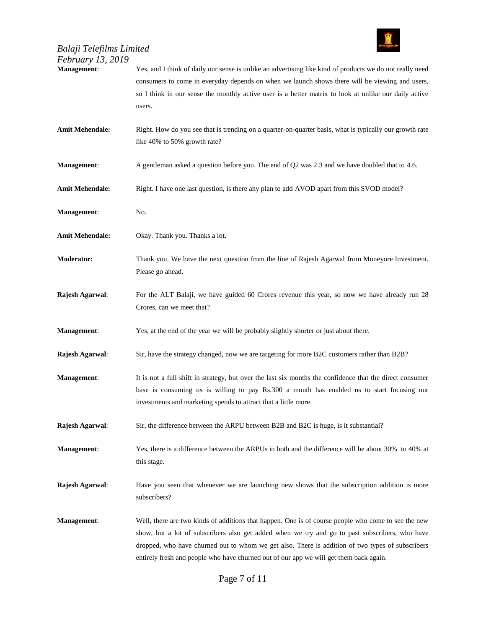

| <i>February 13, 2019</i><br><b>Management:</b> | Yes, and I think of daily our sense is unlike an advertising like kind of products we do not really need<br>consumers to come in everyday depends on when we launch shows there will be viewing and users,<br>so I think in our sense the monthly active user is a better matrix to look at unlike our daily active<br>users.                                                                       |
|------------------------------------------------|-----------------------------------------------------------------------------------------------------------------------------------------------------------------------------------------------------------------------------------------------------------------------------------------------------------------------------------------------------------------------------------------------------|
| <b>Amit Mehendale:</b>                         | Right. How do you see that is trending on a quarter-on-quarter basis, what is typically our growth rate<br>like 40% to 50% growth rate?                                                                                                                                                                                                                                                             |
| Management:                                    | A gentleman asked a question before you. The end of Q2 was 2.3 and we have doubled that to 4.6.                                                                                                                                                                                                                                                                                                     |
| <b>Amit Mehendale:</b>                         | Right. I have one last question, is there any plan to add AVOD apart from this SVOD model?                                                                                                                                                                                                                                                                                                          |
| Management:                                    | No.                                                                                                                                                                                                                                                                                                                                                                                                 |
| <b>Amit Mehendale:</b>                         | Okay. Thank you. Thanks a lot.                                                                                                                                                                                                                                                                                                                                                                      |
| <b>Moderator:</b>                              | Thank you. We have the next question from the line of Rajesh Agarwal from Moneyore Investment.<br>Please go ahead.                                                                                                                                                                                                                                                                                  |
| Rajesh Agarwal:                                | For the ALT Balaji, we have guided 60 Crores revenue this year, so now we have already run 28<br>Crores, can we meet that?                                                                                                                                                                                                                                                                          |
| <b>Management:</b>                             | Yes, at the end of the year we will be probably slightly shorter or just about there.                                                                                                                                                                                                                                                                                                               |
| Rajesh Agarwal:                                | Sir, have the strategy changed, now we are targeting for more B2C customers rather than B2B?                                                                                                                                                                                                                                                                                                        |
| Management:                                    | It is not a full shift in strategy, but over the last six months the confidence that the direct consumer<br>base is consuming us is willing to pay Rs.300 a month has enabled us to start focusing our<br>investments and marketing spends to attract that a little more.                                                                                                                           |
| Rajesh Agarwal:                                | Sir, the difference between the ARPU between B2B and B2C is huge, is it substantial?                                                                                                                                                                                                                                                                                                                |
| <b>Management:</b>                             | Yes, there is a difference between the ARPUs in both and the difference will be about 30% to 40% at<br>this stage.                                                                                                                                                                                                                                                                                  |
| Rajesh Agarwal:                                | Have you seen that whenever we are launching new shows that the subscription addition is more<br>subscribers?                                                                                                                                                                                                                                                                                       |
| <b>Management:</b>                             | Well, there are two kinds of additions that happen. One is of course people who come to see the new<br>show, but a lot of subscribers also get added when we try and go to past subscribers, who have<br>dropped, who have churned out to whom we get also. There is addition of two types of subscribers<br>entirely fresh and people who have churned out of our app we will get them back again. |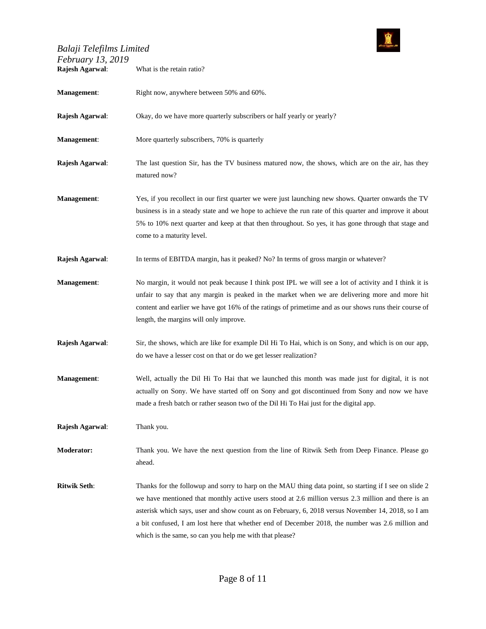

| Balaji Telefilms Limited<br>February 13, 2019 | Stein <mark>g Telefolme Lib</mark>                                                                                                                                                                                                                                                                                                                                                                                                                                                 |
|-----------------------------------------------|------------------------------------------------------------------------------------------------------------------------------------------------------------------------------------------------------------------------------------------------------------------------------------------------------------------------------------------------------------------------------------------------------------------------------------------------------------------------------------|
| Rajesh Agarwal:                               | What is the retain ratio?                                                                                                                                                                                                                                                                                                                                                                                                                                                          |
| Management:                                   | Right now, anywhere between 50% and 60%.                                                                                                                                                                                                                                                                                                                                                                                                                                           |
| Rajesh Agarwal:                               | Okay, do we have more quarterly subscribers or half yearly or yearly?                                                                                                                                                                                                                                                                                                                                                                                                              |
| Management:                                   | More quarterly subscribers, 70% is quarterly                                                                                                                                                                                                                                                                                                                                                                                                                                       |
| Rajesh Agarwal:                               | The last question Sir, has the TV business matured now, the shows, which are on the air, has they<br>matured now?                                                                                                                                                                                                                                                                                                                                                                  |
| Management:                                   | Yes, if you recollect in our first quarter we were just launching new shows. Quarter onwards the TV<br>business is in a steady state and we hope to achieve the run rate of this quarter and improve it about<br>5% to 10% next quarter and keep at that then throughout. So yes, it has gone through that stage and<br>come to a maturity level.                                                                                                                                  |
| Rajesh Agarwal:                               | In terms of EBITDA margin, has it peaked? No? In terms of gross margin or whatever?                                                                                                                                                                                                                                                                                                                                                                                                |
| <b>Management:</b>                            | No margin, it would not peak because I think post IPL we will see a lot of activity and I think it is<br>unfair to say that any margin is peaked in the market when we are delivering more and more hit<br>content and earlier we have got 16% of the ratings of primetime and as our shows runs their course of<br>length, the margins will only improve.                                                                                                                         |
| Rajesh Agarwal:                               | Sir, the shows, which are like for example Dil Hi To Hai, which is on Sony, and which is on our app,<br>do we have a lesser cost on that or do we get lesser realization?                                                                                                                                                                                                                                                                                                          |
| <b>Management:</b>                            | Well, actually the Dil Hi To Hai that we launched this month was made just for digital, it is not<br>actually on Sony. We have started off on Sony and got discontinued from Sony and now we have<br>made a fresh batch or rather season two of the Dil Hi To Hai just for the digital app.                                                                                                                                                                                        |
| Rajesh Agarwal:                               | Thank you.                                                                                                                                                                                                                                                                                                                                                                                                                                                                         |
| <b>Moderator:</b>                             | Thank you. We have the next question from the line of Ritwik Seth from Deep Finance. Please go<br>ahead.                                                                                                                                                                                                                                                                                                                                                                           |
| <b>Ritwik Seth:</b>                           | Thanks for the followup and sorry to harp on the MAU thing data point, so starting if I see on slide 2<br>we have mentioned that monthly active users stood at 2.6 million versus 2.3 million and there is an<br>asterisk which says, user and show count as on February, 6, 2018 versus November 14, 2018, so I am<br>a bit confused, I am lost here that whether end of December 2018, the number was 2.6 million and<br>which is the same, so can you help me with that please? |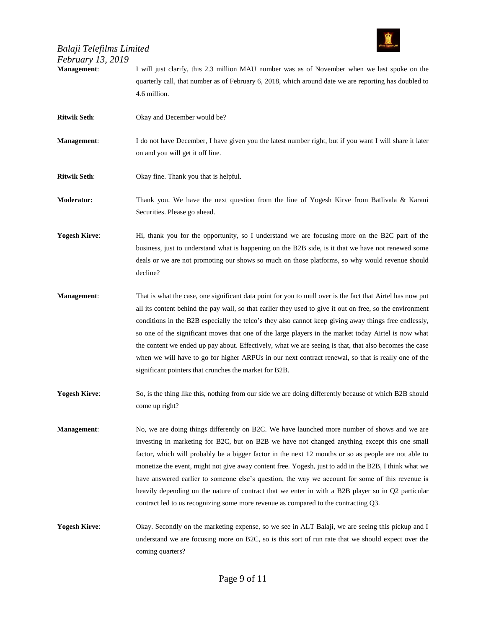

**Management**: I will just clarify, this 2.3 million MAU number was as of November when we last spoke on the quarterly call, that number as of February 6, 2018, which around date we are reporting has doubled to 4.6 million. **Ritwik Seth:** Okay and December would be?

- **Management:** I do not have December, I have given you the latest number right, but if you want I will share it later on and you will get it off line.
- **Ritwik Seth**: Okay fine. Thank you that is helpful.
- **Moderator:** Thank you. We have the next question from the line of Yogesh Kirve from Batlivala & Karani Securities. Please go ahead.

**Yogesh Kirve:** Hi, thank you for the opportunity, so I understand we are focusing more on the B2C part of the business, just to understand what is happening on the B2B side, is it that we have not renewed some deals or we are not promoting our shows so much on those platforms, so why would revenue should decline?

- **Management**: That is what the case, one significant data point for you to mull over is the fact that Airtel has now put all its content behind the pay wall, so that earlier they used to give it out on free, so the environment conditions in the B2B especially the telco's they also cannot keep giving away things free endlessly, so one of the significant moves that one of the large players in the market today Airtel is now what the content we ended up pay about. Effectively, what we are seeing is that, that also becomes the case when we will have to go for higher ARPUs in our next contract renewal, so that is really one of the significant pointers that crunches the market for B2B.
- **Yogesh Kirve:** So, is the thing like this, nothing from our side we are doing differently because of which B2B should come up right?
- **Management**: No, we are doing things differently on B2C. We have launched more number of shows and we are investing in marketing for B2C, but on B2B we have not changed anything except this one small factor, which will probably be a bigger factor in the next 12 months or so as people are not able to monetize the event, might not give away content free. Yogesh, just to add in the B2B, I think what we have answered earlier to someone else's question, the way we account for some of this revenue is heavily depending on the nature of contract that we enter in with a B2B player so in Q2 particular contract led to us recognizing some more revenue as compared to the contracting Q3.
- **Yogesh Kirve:** Okay. Secondly on the marketing expense, so we see in ALT Balaji, we are seeing this pickup and I understand we are focusing more on B2C, so is this sort of run rate that we should expect over the coming quarters?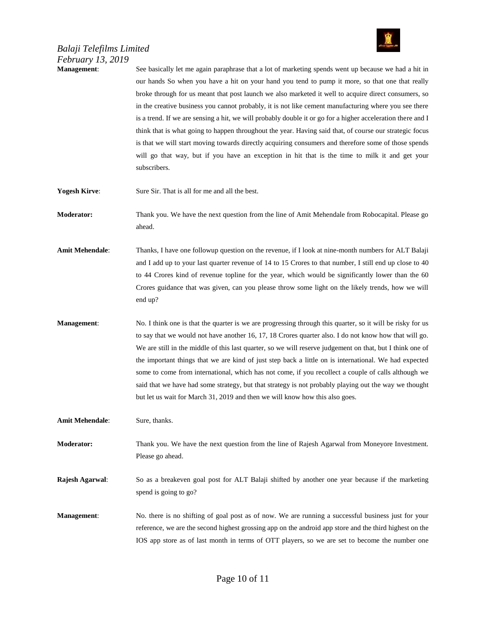

#### *Balaji Telefilms Limited February 13, 2019* **Management**: See basically let me again paraphrase that a lot of marketing spends went up because we had a hit in

our hands So when you have a hit on your hand you tend to pump it more, so that one that really broke through for us meant that post launch we also marketed it well to acquire direct consumers, so in the creative business you cannot probably, it is not like cement manufacturing where you see there is a trend. If we are sensing a hit, we will probably double it or go for a higher acceleration there and I think that is what going to happen throughout the year. Having said that, of course our strategic focus is that we will start moving towards directly acquiring consumers and therefore some of those spends will go that way, but if you have an exception in hit that is the time to milk it and get your subscribers. **Yogesh Kirve:** Sure Sir. That is all for me and all the best. **Moderator:** Thank you. We have the next question from the line of Amit Mehendale from Robocapital. Please go ahead. **Amit Mehendale**: Thanks, I have one followup question on the revenue, if I look at nine-month numbers for ALT Balaji and I add up to your last quarter revenue of 14 to 15 Crores to that number, I still end up close to 40 to 44 Crores kind of revenue topline for the year, which would be significantly lower than the 60 Crores guidance that was given, can you please throw some light on the likely trends, how we will end up? **Management:** No. I think one is that the quarter is we are progressing through this quarter, so it will be risky for us to say that we would not have another 16, 17, 18 Crores quarter also. I do not know how that will go. We are still in the middle of this last quarter, so we will reserve judgement on that, but I think one of the important things that we are kind of just step back a little on is international. We had expected some to come from international, which has not come, if you recollect a couple of calls although we said that we have had some strategy, but that strategy is not probably playing out the way we thought but let us wait for March 31, 2019 and then we will know how this also goes. **Amit Mehendale**: Sure, thanks. **Moderator:** Thank you. We have the next question from the line of Rajesh Agarwal from Moneyore Investment. Please go ahead. **Rajesh Agarwal**: So as a breakeven goal post for ALT Balaji shifted by another one year because if the marketing spend is going to go? **Management**: No. there is no shifting of goal post as of now. We are running a successful business just for your reference, we are the second highest grossing app on the android app store and the third highest on the IOS app store as of last month in terms of OTT players, so we are set to become the number one